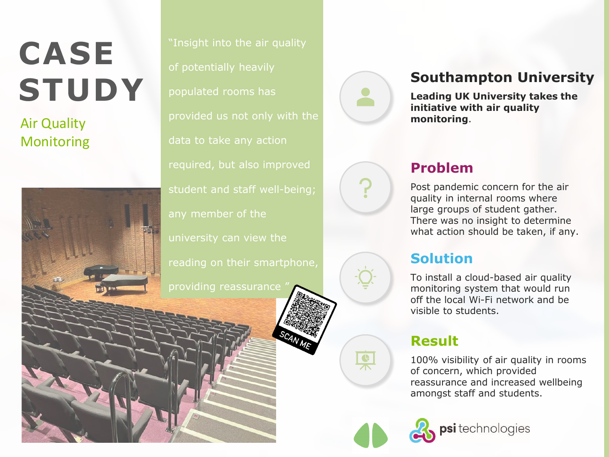# **CASE STUDY**

Monitoring



populated rooms has Air Quality **provided us not only with the monitoring.** any member of the



 $\overline{\bullet}$ 

### **Southampton University**

**Leading UK University takes the initiative with air quality** 

## **Problem**

Post pandemic concern for the air quality in internal rooms where large groups of student gather. There was no insight to determine what action should be taken, if any.

## **Solution**

To install a cloud-based air quality monitoring system that would run off the local Wi-Fi network and be visible to students.

## **Result**

100% visibility of air quality in rooms of concern, which provided reassurance and increased wellbeing amongst staff and students.

psi technologies